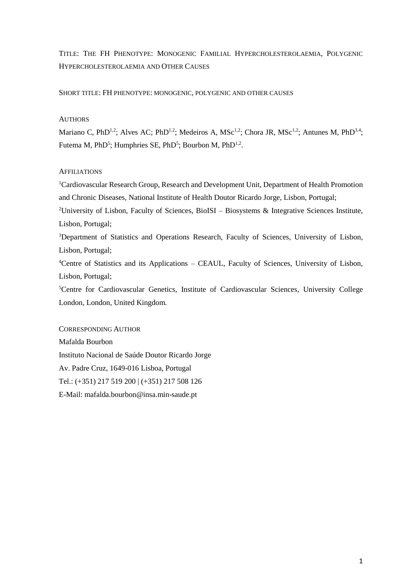TITLE: THE FH PHENOTYPE: MONOGENIC FAMILIAL HYPERCHOLESTEROLAEMIA, POLYGENIC HYPERCHOLESTEROLAEMIA AND OTHER CAUSES

SHORT TITLE: FH PHENOTYPE: MONOGENIC, POLYGENIC AND OTHER CAUSES

## **AUTHORS**

Mariano C, PhD<sup>1,2</sup>; Alves AC; PhD<sup>1,2</sup>; Medeiros A, MSc<sup>1,2</sup>; Chora JR, MSc<sup>1,2</sup>; Antunes M, PhD<sup>3,4</sup>; Futema M, PhD<sup>5</sup>; Humphries SE, PhD<sup>5</sup>; Bourbon M, PhD<sup>1,2</sup>.

# **AFFILIATIONS**

<sup>1</sup>Cardiovascular Research Group, Research and Development Unit, Department of Health Promotion and Chronic Diseases, National Institute of Health Doutor Ricardo Jorge, Lisbon, Portugal;

<sup>2</sup>University of Lisbon, Faculty of Sciences, BioISI – Biosystems & Integrative Sciences Institute, Lisbon, Portugal;

<sup>3</sup>Department of Statistics and Operations Research, Faculty of Sciences, University of Lisbon, Lisbon, Portugal;

<sup>4</sup>Centre of Statistics and its Applications – CEAUL, Faculty of Sciences, University of Lisbon, Lisbon, Portugal;

<sup>5</sup>Centre for Cardiovascular Genetics, Institute of Cardiovascular Sciences, University College London, London, United Kingdom.

# CORRESPONDING AUTHOR

Mafalda Bourbon Instituto Nacional de Saúde Doutor Ricardo Jorge Av. Padre Cruz, 1649-016 Lisboa, Portugal Tel.: (+351) 217 519 200 | (+351) 217 508 126 E-Mail: mafalda.bourbon@insa.min-saude.pt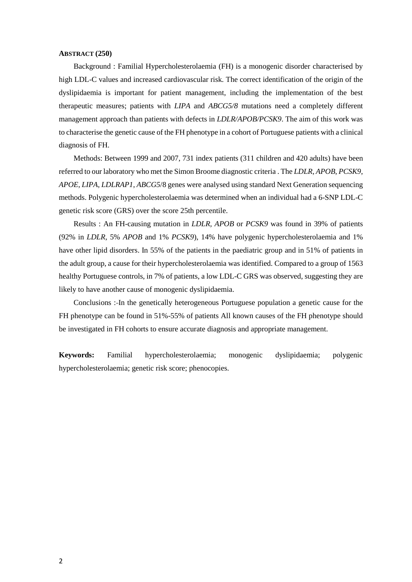#### **ABSTRACT (250)**

Background : Familial Hypercholesterolaemia (FH) is a monogenic disorder characterised by high LDL-C values and increased cardiovascular risk. The correct identification of the origin of the dyslipidaemia is important for patient management, including the implementation of the best therapeutic measures; patients with *LIPA* and *ABCG5/8* mutations need a completely different management approach than patients with defects in *LDLR/APOB/PCSK9*. The aim of this work was to characterise the genetic cause of the FH phenotype in a cohort of Portuguese patients with a clinical diagnosis of FH.

Methods: Between 1999 and 2007, 731 index patients (311 children and 420 adults) have been referred to our laboratory who met the Simon Broome diagnostic criteria . The *LDLR*, *APOB*, *PCSK9*, *APOE*, *LIPA*, *LDLRAP1*, *ABCG5*/8 genes were analysed using standard Next Generation sequencing methods. Polygenic hypercholesterolaemia was determined when an individual had a 6-SNP LDL-C genetic risk score (GRS) over the score 25th percentile.

Results : An FH-causing mutation in *LDLR, APOB* or *PCSK9* was found in 39% of patients (92% in *LDLR*, 5% *APOB* and 1% *PCSK9*), 14% have polygenic hypercholesterolaemia and 1% have other lipid disorders. In 55% of the patients in the paediatric group and in 51% of patients in the adult group, a cause for their hypercholesterolaemia was identified. Compared to a group of 1563 healthy Portuguese controls, in 7% of patients, a low LDL-C GRS was observed, suggesting they are likely to have another cause of monogenic dyslipidaemia.

Conclusions : In the genetically heterogeneous Portuguese population a genetic cause for the FH phenotype can be found in 51%-55% of patients All known causes of the FH phenotype should be investigated in FH cohorts to ensure accurate diagnosis and appropriate management.

**Keywords:** Familial hypercholesterolaemia; monogenic dyslipidaemia; polygenic hypercholesterolaemia; genetic risk score; phenocopies.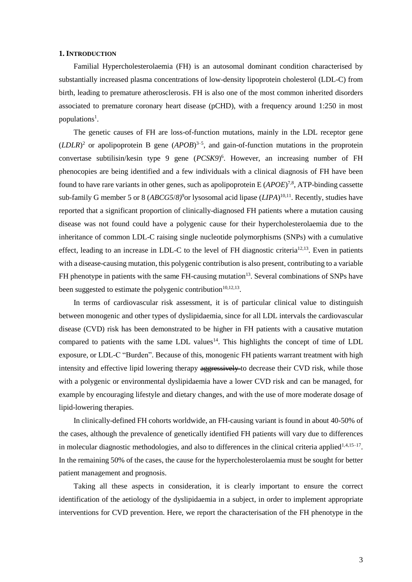#### **1. INTRODUCTION**

Familial Hypercholesterolaemia (FH) is an autosomal dominant condition characterised by substantially increased plasma concentrations of low-density lipoprotein cholesterol (LDL-C) from birth, leading to premature atherosclerosis. FH is also one of the most common inherited disorders associated to premature coronary heart disease (pCHD), with a frequency around 1:250 in most populations<sup>1</sup>.

The genetic causes of FH are loss-of-function mutations, mainly in the LDL receptor gene  $(LDLR)^2$  or apolipoprotein B gene  $(APOB)^{3-5}$ , and gain-of-function mutations in the proprotein convertase subtilisin/kesin type 9 gene (*PCSK9*) 6 . However, an increasing number of FH phenocopies are being identified and a few individuals with a clinical diagnosis of FH have been found to have rare variants in other genes, such as apolipoprotein E (*APOE*)<sup>7,8</sup>, ATP-binding cassette sub-family G member 5 or 8 (*ABCG5/8*)<sup>9</sup>or lysosomal acid lipase (*LIPA*)<sup>10,11</sup>. Recently, studies have reported that a significant proportion of clinically-diagnosed FH patients where a mutation causing disease was not found could have a polygenic cause for their hypercholesterolaemia due to the inheritance of common LDL-C raising single nucleotide polymorphisms (SNPs) with a cumulative effect, leading to an increase in LDL-C to the level of FH diagnostic criteria<sup>12,13</sup>. Even in patients with a disease-causing mutation, this polygenic contribution is also present, contributing to a variable FH phenotype in patients with the same FH-causing mutation<sup>13</sup>. Several combinations of SNPs have been suggested to estimate the polygenic contribution $10,12,13$ .

In terms of cardiovascular risk assessment, it is of particular clinical value to distinguish between monogenic and other types of dyslipidaemia, since for all LDL intervals the cardiovascular disease (CVD) risk has been demonstrated to be higher in FH patients with a causative mutation compared to patients with the same LDL values<sup>14</sup>. This highlights the concept of time of LDL exposure, or LDL-C "Burden". Because of this, monogenic FH patients warrant treatment with high intensity and effective lipid lowering therapy aggressively to decrease their CVD risk, while those with a polygenic or environmental dyslipidaemia have a lower CVD risk and can be managed, for example by encouraging lifestyle and dietary changes, and with the use of more moderate dosage of lipid-lowering therapies.

In clinically-defined FH cohorts worldwide, an FH-causing variant is found in about 40-50% of the cases, although the prevalence of genetically identified FH patients will vary due to differences in molecular diagnostic methodologies, and also to differences in the clinical criteria applied<sup>1,4,15-17</sup>. In the remaining 50% of the cases, the cause for the hypercholesterolaemia must be sought for better patient management and prognosis.

Taking all these aspects in consideration, it is clearly important to ensure the correct identification of the aetiology of the dyslipidaemia in a subject, in order to implement appropriate interventions for CVD prevention. Here, we report the characterisation of the FH phenotype in the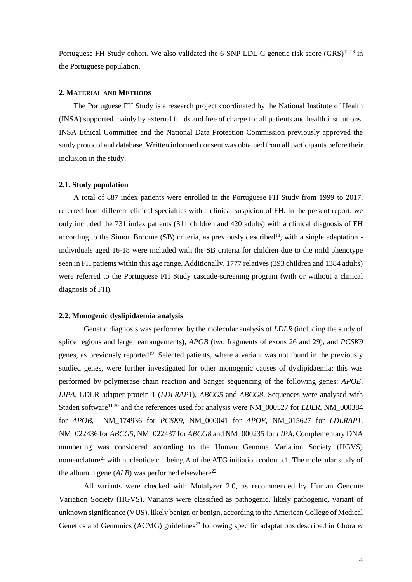Portuguese FH Study cohort. We also validated the 6-SNP LDL-C genetic risk score (GRS)<sup>12,13</sup> in the Portuguese population.

#### **2. MATERIAL AND METHODS**

The Portuguese FH Study is a research project coordinated by the National Institute of Health (INSA) supported mainly by external funds and free of charge for all patients and health institutions. INSA Ethical Committee and the National Data Protection Commission previously approved the study protocol and database. Written informed consent was obtained from all participants before their inclusion in the study.

### **2.1. Study population**

A total of 887 index patients were enrolled in the Portuguese FH Study from 1999 to 2017, referred from different clinical specialties with a clinical suspicion of FH. In the present report, we only included the 731 index patients (311 children and 420 adults) with a clinical diagnosis of FH according to the Simon Broome (SB) criteria, as previously described<sup>18</sup>, with a single adaptation individuals aged 16-18 were included with the SB criteria for children due to the mild phenotype seen in FH patients within this age range. Additionally, 1777 relatives (393 children and 1384 adults) were referred to the Portuguese FH Study cascade-screening program (with or without a clinical diagnosis of FH).

#### **2.2. Monogenic dyslipidaemia analysis**

Genetic diagnosis was performed by the molecular analysis of *LDLR* (including the study of splice regions and large rearrangements), *APOB* (two fragments of exons 26 and 29), and *PCSK9* genes, as previously reported<sup>19</sup>. Selected patients, where a variant was not found in the previously studied genes, were further investigated for other monogenic causes of dyslipidaemia; this was performed by polymerase chain reaction and Sanger sequencing of the following genes: *APOE*, *LIPA,* LDLR adapter protein 1 (*LDLRAP1*), *ABCG5* and *ABCG8*. Sequences were analysed with Staden software<sup>11,20</sup> and the references used for analysis were NM\_000527 for *LDLR*, NM\_000384 for *APOB*, NM\_174936 for *PCSK9*, NM\_000041 for *APOE*, NM\_015627 for *LDLRAP1*, NM\_022436 for *ABCG5*, NM\_022437 for *ABCG8* and NM\_000235 for *LIPA*. Complementary DNA numbering was considered according to the Human Genome Variation Society (HGVS) nomenclature<sup>21</sup> with nucleotide c.1 being A of the ATG initiation codon p.1. The molecular study of the albumin gene  $(ALB)$  was performed elsewhere<sup>22</sup>.

All variants were checked with Mutalyzer 2.0, as recommended by Human Genome Variation Society (HGVS). Variants were classified as pathogenic, likely pathogenic, variant of unknown significance (VUS), likely benign or benign, according to the American College of Medical Genetics and Genomics (ACMG) guidelines<sup>23</sup> following specific adaptations described in Chora *et*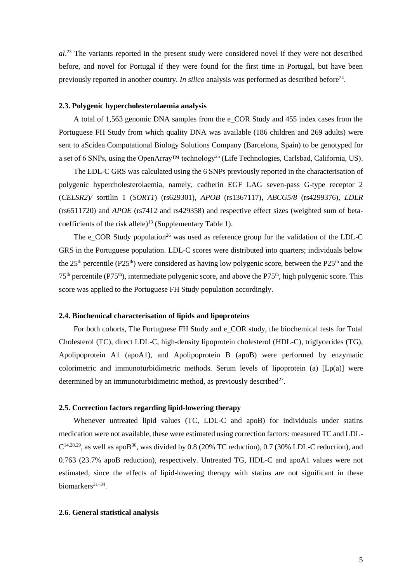al.<sup>23</sup> The variants reported in the present study were considered novel if they were not described before, and novel for Portugal if they were found for the first time in Portugal, but have been previously reported in another country. *In silico* analysis was performed as described before<sup>24</sup>.

# **2.3. Polygenic hypercholesterolaemia analysis**

A total of 1,563 genomic DNA samples from the e\_COR Study and 455 index cases from the Portuguese FH Study from which quality DNA was available (186 children and 269 adults) were sent to aScidea Computational Biology Solutions Company (Barcelona, Spain) to be genotyped for a set of 6 SNPs, using the OpenArray™ technology<sup>25</sup> (Life Technologies, Carlsbad, California, US).

The LDL-C GRS was calculated using the 6 SNPs previously reported in the characterisation of polygenic hypercholesterolaemia, namely, cadherin EGF LAG seven-pass G-type receptor 2 (*CELSR2*)*/* sortilin 1 (*SORT1*) (rs629301), *APOB* (rs1367117), *ABCG5/8* (rs4299376), *LDLR* (rs6511720) and *APOE* (rs7412 and rs429358) and respective effect sizes (weighted sum of betacoefficients of the risk allele $)^{13}$  (Supplementary Table 1).

The  $e_{\text{C}}$ COR Study population<sup>26</sup> was used as reference group for the validation of the LDL-C GRS in the Portuguese population. LDL-C scores were distributed into quarters; individuals below the  $25<sup>th</sup>$  percentile (P25<sup>th</sup>) were considered as having low polygenic score, between the P25<sup>th</sup> and the  $75<sup>th</sup>$  percentile (P75<sup>th</sup>), intermediate polygenic score, and above the P75<sup>th</sup>, high polygenic score. This score was applied to the Portuguese FH Study population accordingly.

## **2.4. Biochemical characterisation of lipids and lipoproteins**

For both cohorts, The Portuguese FH Study and e\_COR study, the biochemical tests for Total Cholesterol (TC), direct LDL-C, high-density lipoprotein cholesterol (HDL-C), triglycerides (TG), Apolipoprotein A1 (apoA1), and Apolipoprotein B (apoB) were performed by enzymatic colorimetric and immunoturbidimetric methods. Serum levels of lipoprotein (a) [Lp(a)] were determined by an immunoturbidimetric method, as previously described<sup>27</sup>.

# **2.5. Correction factors regarding lipid-lowering therapy**

Whenever untreated lipid values (TC, LDL-C and apoB) for individuals under statins medication were not available, these were estimated using correction factors: measured TC and LDL- $C^{14,28,29}$ , as well as apoB<sup>30</sup>, was divided by 0.8 (20% TC reduction), 0.7 (30% LDL-C reduction), and 0.763 (23.7% apoB reduction), respectively. Untreated TG, HDL-C and apoA1 values were not estimated, since the effects of lipid-lowering therapy with statins are not significant in these biomarkers<sup>31-34</sup>.

## **2.6. General statistical analysis**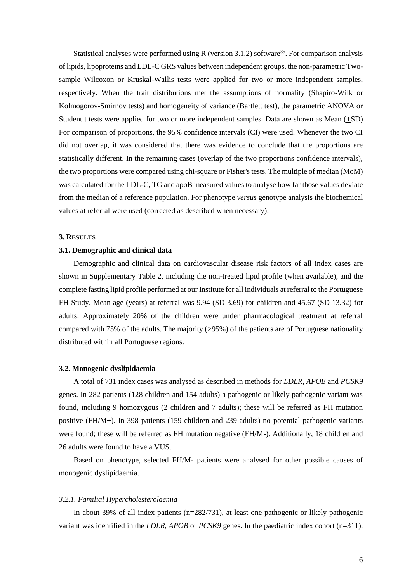Statistical analyses were performed using R (version 3.1.2) software<sup>35</sup>. For comparison analysis of lipids, lipoproteins and LDL-C GRS values between independent groups, the non-parametric Twosample Wilcoxon or Kruskal-Wallis tests were applied for two or more independent samples, respectively. When the trait distributions met the assumptions of normality (Shapiro-Wilk or Kolmogorov-Smirnov tests) and homogeneity of variance (Bartlett test), the parametric ANOVA or Student t tests were applied for two or more independent samples. Data are shown as Mean (+SD) For comparison of proportions, the 95% confidence intervals (CI) were used. Whenever the two CI did not overlap, it was considered that there was evidence to conclude that the proportions are statistically different. In the remaining cases (overlap of the two proportions confidence intervals), the two proportions were compared using chi-square or Fisher's tests. The multiple of median (MoM) was calculated for the LDL-C, TG and apoB measured values to analyse how far those values deviate from the median of a reference population. For phenotype *versus* genotype analysis the biochemical values at referral were used (corrected as described when necessary).

#### **3. RESULTS**

#### **3.1. Demographic and clinical data**

Demographic and clinical data on cardiovascular disease risk factors of all index cases are shown in Supplementary Table 2, including the non-treated lipid profile (when available), and the complete fasting lipid profile performed at our Institute for all individuals at referral to the Portuguese FH Study. Mean age (years) at referral was 9.94 (SD 3.69) for children and 45.67 (SD 13.32) for adults. Approximately 20% of the children were under pharmacological treatment at referral compared with 75% of the adults. The majority (>95%) of the patients are of Portuguese nationality distributed within all Portuguese regions.

### **3.2. Monogenic dyslipidaemia**

A total of 731 index cases was analysed as described in methods for *LDLR*, *APOB* and *PCSK9* genes. In 282 patients (128 children and 154 adults) a pathogenic or likely pathogenic variant was found, including 9 homozygous (2 children and 7 adults); these will be referred as FH mutation positive (FH/M+). In 398 patients (159 children and 239 adults) no potential pathogenic variants were found; these will be referred as FH mutation negative (FH/M-). Additionally, 18 children and 26 adults were found to have a VUS.

Based on phenotype, selected FH/M- patients were analysed for other possible causes of monogenic dyslipidaemia.

#### *3.2.1. Familial Hypercholesterolaemia*

In about 39% of all index patients (n=282/731), at least one pathogenic or likely pathogenic variant was identified in the *LDLR*, *APOB* or *PCSK9* genes. In the paediatric index cohort (n=311),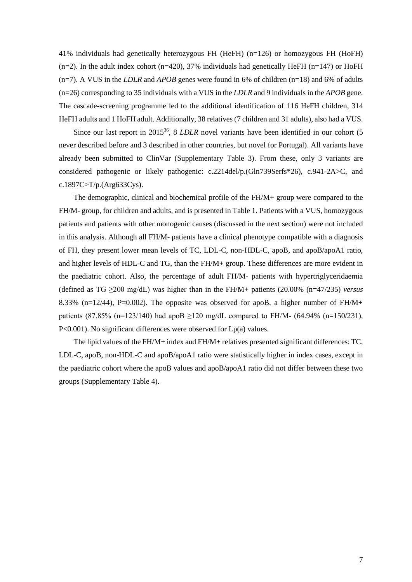41% individuals had genetically heterozygous FH (HeFH) (n=126) or homozygous FH (HoFH)  $(n=2)$ . In the adult index cohort (n=420), 37% individuals had genetically HeFH (n=147) or HoFH (n=7). A VUS in the *LDLR* and *APOB* genes were found in 6% of children (n=18) and 6% of adults (n=26) corresponding to 35 individuals with a VUS in the *LDLR* and 9 individuals in the *APOB* gene. The cascade-screening programme led to the additional identification of 116 HeFH children, 314 HeFH adults and 1 HoFH adult. Additionally, 38 relatives (7 children and 31 adults), also had a VUS.

Since our last report in 2015<sup>36</sup>, 8 *LDLR* novel variants have been identified in our cohort (5 never described before and 3 described in other countries, but novel for Portugal). All variants have already been submitted to ClinVar (Supplementary Table 3). From these, only 3 variants are considered pathogenic or likely pathogenic: c.2214del/p.(Gln739Serfs\*26), c.941-2A>C, and c.1897C>T/p.(Arg633Cys).

The demographic, clinical and biochemical profile of the FH/M+ group were compared to the FH/M- group, for children and adults, and is presented in Table 1. Patients with a VUS, homozygous patients and patients with other monogenic causes (discussed in the next section) were not included in this analysis. Although all FH/M- patients have a clinical phenotype compatible with a diagnosis of FH, they present lower mean levels of TC, LDL-C, non-HDL-C, apoB, and apoB/apoA1 ratio, and higher levels of HDL-C and TG, than the FH/M+ group. These differences are more evident in the paediatric cohort. Also, the percentage of adult FH/M- patients with hypertriglyceridaemia (defined as TG ≥200 mg/dL) was higher than in the FH/M+ patients (20.00% (n=47/235) *versus* 8.33% (n=12/44), P=0.002). The opposite was observed for apoB, a higher number of  $FH/M+$ patients  $(87.85\% \text{ (n=123/140)}$  had apoB >120 mg/dL compared to FH/M-  $(64.94\% \text{ (n=150/231)}$ , P<0.001). No significant differences were observed for Lp(a) values.

The lipid values of the FH/M+ index and FH/M+ relatives presented significant differences: TC, LDL-C, apoB, non-HDL-C and apoB/apoA1 ratio were statistically higher in index cases, except in the paediatric cohort where the apoB values and apoB/apoA1 ratio did not differ between these two groups (Supplementary Table 4).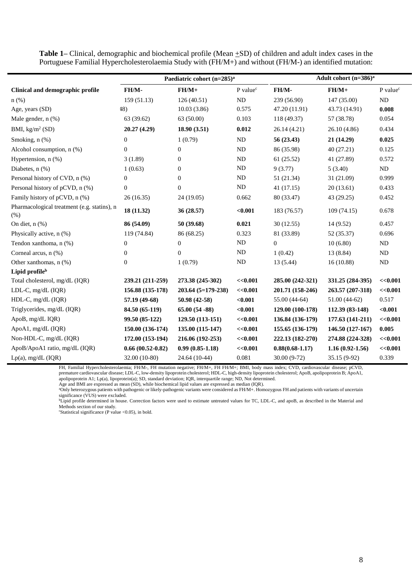|                                                     |                    | Paediatric cohort (n=285) <sup>a</sup> | Adult cohort $(n=386)^a$ |                     |                     |                        |
|-----------------------------------------------------|--------------------|----------------------------------------|--------------------------|---------------------|---------------------|------------------------|
| Clinical and demographic profile                    | FH/M-              | $FH/M+$                                | P value <sup>c</sup>     | FH/M-               | $FH/M+$             | $P$ value <sup>c</sup> |
| $n$ (%)                                             | 159(51.13)         | 126(40.51)                             | <b>ND</b>                | 239 (56.90)         | 147 (35.00)         | ND                     |
| Age, years (SD)                                     | 48)                | 10.03(3.86)                            | 0.575                    | 47.20 (11.91)       | 43.73 (14.91)       | 0.008                  |
| Male gender, n (%)                                  | 63 (39.62)         | 63 (50.00)                             | 0.103                    | 118 (49.37)         | 57 (38.78)          | 0.054                  |
| BMI, $kg/m^2$ (SD)                                  | 20.27(4.29)        | 18.90(3.51)                            | 0.012                    | 26.14 (4.21)        | 26.10(4.86)         | 0.434                  |
| Smoking, n (%)                                      | $\Omega$           | 1(0.79)                                | <b>ND</b>                | 56 (23.43)          | 21 (14.29)          | 0.025                  |
| Alcohol consumption, n (%)                          | $\theta$           | $\overline{0}$                         | ND                       | 86 (35.98)          | 40(27.21)           | 0.125                  |
| Hypertension, n (%)                                 | 3(1.89)            | $\theta$                               | ND                       | 61(25.52)           | 41 (27.89)          | 0.572                  |
| Diabetes, $n$ $(\%)$                                | 1(0.63)            | $\theta$                               | ND                       | 9(3.77)             | 5(3.40)             | $\rm ND$               |
| Personal history of CVD, n (%)                      | $\theta$           | $\theta$                               | ND                       | 51 (21.34)          | 31 (21.09)          | 0.999                  |
| Personal history of pCVD, n (%)                     | $\mathbf{0}$       | $\Omega$                               | ND                       | 41(17.15)           | 20(13.61)           | 0.433                  |
| Family history of pCVD, n (%)                       | 26(16.35)          | 24(19.05)                              | 0.662                    | 80 (33.47)          | 43 (29.25)          | 0.452                  |
| Pharmacological treatment (e.g. statins), n<br>(% ) | 18 (11.32)         | 36 (28.57)                             | $0.001$                  | 183 (76.57)         | 109(74.15)          | 0.678                  |
| On diet, $n$ $%$                                    | 86 (54.09)         | 50 (39.68)                             | 0.021                    | 30(12.55)           | 14(9.52)            | 0.457                  |
| Physically active, n (%)                            | 119 (74.84)        | 86 (68.25)                             | 0.323                    | 81 (33.89)          | 52 (35.37)          | 0.696                  |
| Tendon xanthoma, n (%)                              | $\theta$           | $\theta$                               | ND                       | $\overline{0}$      | 10(6.80)            | ND                     |
| Corneal arcus, n (%)                                | $\theta$           | $\overline{0}$                         | ND                       | 1(0.42)             | 13 (8.84)           | ND                     |
| Other xanthomas, n (%)                              | $\Omega$           | 1(0.79)                                | $\rm ND$                 | 13 (5.44)           | 16(10.88)           | ND                     |
| Lipid profileb                                      |                    |                                        |                          |                     |                     |                        |
| Total cholesterol, mg/dL (IQR)                      | 239.21 (211-259)   | 273.38 (245-302)                       | << 0.001                 | 285.00 (242-321)    | 331.25 (284-395)    | <<0.001                |
| LDL-C, mg/dL (IQR)                                  | 156.88 (135-178)   | 203.64 (5=179-238)                     | << 0.001                 | 201.71 (158-246)    | 263.57 (207-318)    | <<0.001                |
| HDL-C, mg/dL (IQR)                                  | 57.19 (49-68)      | 50.98 (42-58)                          | $0.001$                  | 55.00 (44-64)       | $51.00(44-62)$      | 0.517                  |
| Triglycerides, mg/dL (IQR)                          | 84.50 (65-119)     | $65.00(54-88)$                         | < 0.001                  | 129.00 (100-178)    | 112.39 (83-148)     | < 0.001                |
| ApoB, mg/dL IQR)                                    | 99.50 (85-122)     | $129.50(113-151)$                      | <<0.001                  | 136.84 (136-179)    | 177.63 (141-211)    | <<0.001                |
| ApoA1, mg/dL (IQR)                                  | 150.00 (136-174)   | 135.00 (115-147)                       | <<0.001                  | 155.65 (136-179)    | 146.50 (127-167)    | 0.005                  |
| Non-HDL-C, mg/dL (IQR)                              | 172.00 (153-194)   | 216.06 (192-253)                       | << 0.001                 | 222.13 (182-270)    | 274.88 (224-328)    | <<0.001                |
| ApoB/ApoA1 ratio, mg/dL (IQR)                       | $0.66(00.52-0.82)$ | $0.99(0.85-1.18)$                      | << 0.001                 | $0.88(0.68 - 1.17)$ | $1.16(0.92 - 1.56)$ | <<0.001                |
| $Lp(a)$ , mg/dL (IQR)                               | 32.00 (10-80)      | 24.64 (10-44)                          | 0.081                    | $30.00(9-72)$       | 35.15 (9-92)        | 0.339                  |

**Table 1–** Clinical, demographic and biochemical profile (Mean  $\pm$ SD) of children and adult index cases in the Portuguese Familial Hypercholesterolaemia Study with (FH/M+) and without (FH/M-) an identified mutation:

FH, Familial Hypercholesterolaemia; FH/M-, FH mutation negative; FH/M+, FH FH/M+; BMI, body mass index; CVD, cardiovascular disease; pCVD, premature cardiovascular disease; LDL-C, low-density lipoprotein cholesterol; HDL-C, high-density lipoprotein cholesterol; ApoB, apolipoprotein B; ApoA1, apolipoprotein A1; Lp(a), lipoprotein(a); SD, standard deviation; IQR, interquartile range; ND, Not determined.

Age and BMI are expressed as mean (SD), while biochemical lipid values are expressed as median (IQR).<br><sup>a</sup>Only heterozygous patients with pathogenic or likely-pathogenic variants were considered as FH/M+. Homozygous FH and significance (VUS) were excluded.

<sup>b</sup>Lipid profile determined in house. Correction factors were used to estimate untreated values for TC, LDL-C, and apoB, as described in the Material and Methods section of our study. cStatistical significance (P value <0.05), in bold.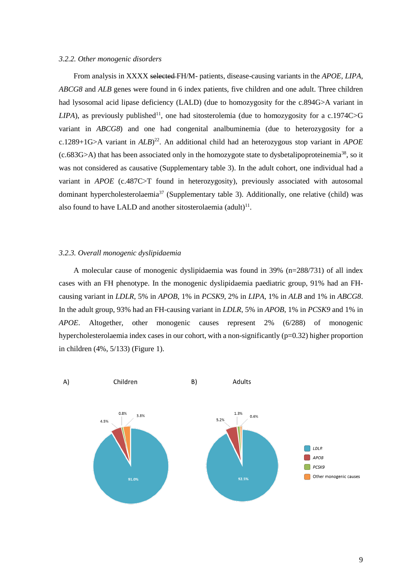#### *3.2.2. Other monogenic disorders*

From analysis in XXXX selected FH/M- patients, disease-causing variants in the *APOE*, *LIPA*, *ABCG8* and *ALB* genes were found in 6 index patients, five children and one adult. Three children had lysosomal acid lipase deficiency (LALD) (due to homozygosity for the c.894G>A variant in  $LIPA$ ), as previously published<sup>11</sup>, one had sitosterolemia (due to homozygosity for a c.1974C>G variant in *ABCG8*) and one had congenital analbuminemia (due to heterozygosity for a c.1289+1G>A variant in *ALB*) 22 . An additional child had an heterozygous stop variant in *APOE*  $(c.683G>A)$  that has been associated only in the homozygote state to dysbetalipoproteinemia<sup>38</sup>, so it was not considered as causative (Supplementary table 3). In the adult cohort, one individual had a variant in *APOE* (c.487C>T found in heterozygosity), previously associated with autosomal dominant hypercholesterolaemia<sup>37</sup> (Supplementary table 3). Additionally, one relative (child) was also found to have LALD and another sitosterolaemia  $(adult)^{11}$ .

# *3.2.3. Overall monogenic dyslipidaemia*

A molecular cause of monogenic dyslipidaemia was found in 39% (n=288/731) of all index cases with an FH phenotype. In the monogenic dyslipidaemia paediatric group, 91% had an FHcausing variant in *LDLR*, 5% in *APOB*, 1% in *PCSK9*, 2% in *LIPA*, 1% in *ALB* and 1% in *ABCG8*. In the adult group, 93% had an FH-causing variant in *LDLR*, 5% in *APOB*, 1% in *PCSK9* and 1% in *APOE*. Altogether, other monogenic causes represent 2% (6/288) of monogenic hypercholesterolaemia index cases in our cohort, with a non-significantly (p=0.32) higher proportion in children (4%, 5/133) (Figure 1).

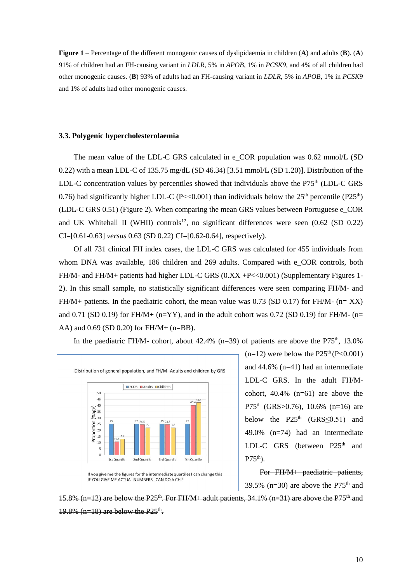**Figure 1** – Percentage of the different monogenic causes of dyslipidaemia in children (**A**) and adults (**B**). (**A**) 91% of children had an FH-causing variant in *LDLR*, 5% in *APOB*, 1% in *PCSK9*, and 4% of all children had other monogenic causes. (**B**) 93% of adults had an FH-causing variant in *LDLR*, 5% in *APOB*, 1% in *PCSK9* and 1% of adults had other monogenic causes.

## **3.3. Polygenic hypercholesterolaemia**

The mean value of the LDL-C GRS calculated in e\_COR population was 0.62 mmol/L (SD 0.22) with a mean LDL-C of 135.75 mg/dL (SD 46.34) [3.51 mmol/L (SD 1.20)]. Distribution of the LDL-C concentration values by percentiles showed that individuals above the  $P75<sup>th</sup>$  (LDL-C GRS 0.76) had significantly higher LDL-C (P<<0.001) than individuals below the  $25<sup>th</sup>$  percentile (P25<sup>th</sup>) (LDL-C GRS 0.51) (Figure 2). When comparing the mean GRS values between Portuguese e\_COR and UK Whitehall II (WHII) controls<sup>12</sup>, no significant differences were seen  $(0.62 \text{ (SD } 0.22)$ CI=[0.61-0.63] *versus* 0.63 (SD 0.22) CI=[0.62-0.64]*,* respectively).

Of all 731 clinical FH index cases, the LDL-C GRS was calculated for 455 individuals from whom DNA was available, 186 children and 269 adults. Compared with e\_COR controls, both FH/M- and FH/M+ patients had higher LDL-C GRS  $(0.XX + P \ll 0.001)$  (Supplementary Figures 1-2). In this small sample, no statistically significant differences were seen comparing FH/M- and FH/M+ patients. In the paediatric cohort, the mean value was  $0.73$  (SD  $0.17$ ) for FH/M- (n= XX) and 0.71 (SD 0.19) for FH/M+ (n=YY), and in the adult cohort was 0.72 (SD 0.19) for FH/M- (n= AA) and 0.69 (SD 0.20) for FH/M+ (n=BB).

In the paediatric FH/M- cohort, about  $42.4\%$  (n=39) of patients are above the P75<sup>th</sup>, 13.0%



 $(n=12)$  were below the P25<sup>th</sup> (P<0.001) and 44.6% (n=41) had an intermediate LDL-C GRS. In the adult FH/Mcohort,  $40.4\%$  (n=61) are above the P75<sup>th</sup> (GRS>0.76), 10.6% (n=16) are below the P25<sup>th</sup> (GRS $\leq$ 0.51) and 49.0% (n=74) had an intermediate LDL-C GRS (between  $P25<sup>th</sup>$  and  $P75<sup>th</sup>$ ).

For FH/M+ paediatric patients,  $39.5\%$  (n=30) are above the P75<sup>th</sup> and

15.8% (n=12) are below the P25<sup>th</sup>. For FH/M + adult patients, 34.1% (n=31) are above the P75<sup>th</sup> and  $19.8\%$  (n=18) are below the P25<sup>th</sup>.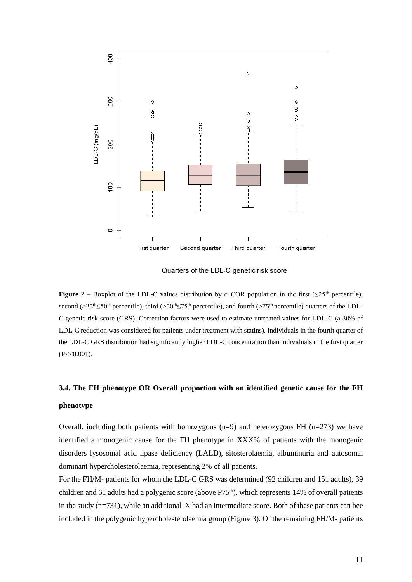

Quarters of the LDL-C genetic risk score

**Figure 2** – Boxplot of the LDL-C values distribution by e\_COR population in the first ( $\leq 25$ <sup>th</sup> percentile), second (>25<sup>th</sup>≤50<sup>th</sup> percentile), third (>50<sup>th</sup>≤75<sup>th</sup> percentile), and fourth (>75<sup>th</sup> percentile) quarters of the LDL-C genetic risk score (GRS). Correction factors were used to estimate untreated values for LDL-C (a 30% of LDL-C reduction was considered for patients under treatment with statins). Individuals in the fourth quarter of the LDL-C GRS distribution had significantly higher LDL-C concentration than individuals in the first quarter  $(P << 0.001)$ .

# **3.4. The FH phenotype OR Overall proportion with an identified genetic cause for the FH phenotype**

Overall, including both patients with homozygous  $(n=9)$  and heterozygous FH  $(n=273)$  we have identified a monogenic cause for the FH phenotype in XXX% of patients with the monogenic disorders lysosomal acid lipase deficiency (LALD), sitosterolaemia, albuminuria and autosomal dominant hypercholesterolaemia, representing 2% of all patients.

For the FH/M- patients for whom the LDL-C GRS was determined (92 children and 151 adults), 39 children and 61 adults had a polygenic score (above P75<sup>th</sup>), which represents 14% of overall patients in the study  $(n=731)$ , while an additional X had an intermediate score. Both of these patients can bee included in the polygenic hypercholesterolaemia group (Figure 3). Of the remaining FH/M- patients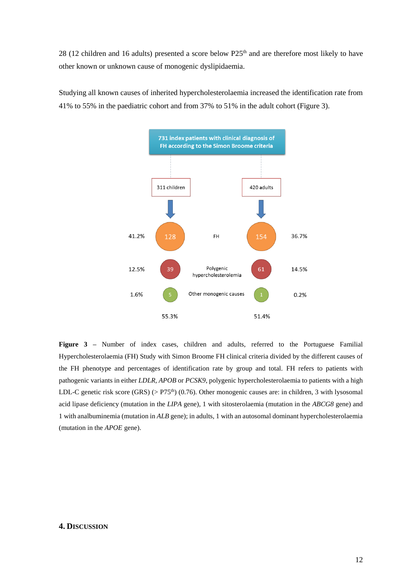28 (12 children and 16 adults) presented a score below P25<sup>th</sup> and are therefore most likely to have other known or unknown cause of monogenic dyslipidaemia.

Studying all known causes of inherited hypercholesterolaemia increased the identification rate from 41% to 55% in the paediatric cohort and from 37% to 51% in the adult cohort (Figure 3).



Figure 3 – Number of index cases, children and adults, referred to the Portuguese Familial Hypercholesterolaemia (FH) Study with Simon Broome FH clinical criteria divided by the different causes of the FH phenotype and percentages of identification rate by group and total. FH refers to patients with pathogenic variants in either *LDLR, APOB* or *PCSK9*, polygenic hypercholesterolaemia to patients with a high LDL-C genetic risk score  $(GRS)$  (> P75<sup>th</sup>) (0.76). Other monogenic causes are: in children, 3 with lysosomal acid lipase deficiency (mutation in the *LIPA* gene), 1 with sitosterolaemia (mutation in the *ABCG8* gene) and 1 with analbuminemia (mutation in *ALB* gene); in adults, 1 with an autosomal dominant hypercholesterolaemia (mutation in the *APOE* gene).

## **4. DISCUSSION**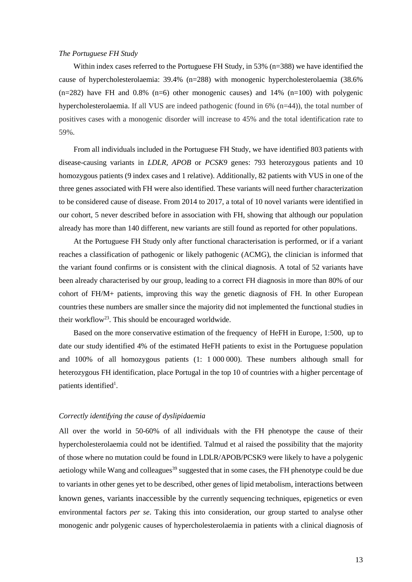## *The Portuguese FH Study*

Within index cases referred to the Portuguese FH Study, in 53% (n=388) we have identified the cause of hypercholesterolaemia: 39.4% (n=288) with monogenic hypercholesterolaemia (38.6%  $(n=282)$  have FH and 0.8%  $(n=6)$  other monogenic causes) and 14%  $(n=100)$  with polygenic hypercholesterolaemia. If all VUS are indeed pathogenic (found in 6% (n=44)), the total number of positives cases with a monogenic disorder will increase to 45% and the total identification rate to 59%.

From all individuals included in the Portuguese FH Study, we have identified 803 patients with disease-causing variants in *LDLR, APOB* or *PCSK9* genes: 793 heterozygous patients and 10 homozygous patients (9 index cases and 1 relative). Additionally, 82 patients with VUS in one of the three genes associated with FH were also identified. These variants will need further characterization to be considered cause of disease. From 2014 to 2017, a total of 10 novel variants were identified in our cohort, 5 never described before in association with FH, showing that although our population already has more than 140 different, new variants are still found as reported for other populations.

At the Portuguese FH Study only after functional characterisation is performed, or if a variant reaches a classification of pathogenic or likely pathogenic (ACMG), the clinician is informed that the variant found confirms or is consistent with the clinical diagnosis. A total of 52 variants have been already characterised by our group, leading to a correct FH diagnosis in more than 80% of our cohort of FH/M+ patients, improving this way the genetic diagnosis of FH. In other European countries these numbers are smaller since the majority did not implemented the functional studies in their workflow<sup>23</sup>. This should be encouraged worldwide.

Based on the more conservative estimation of the frequency of HeFH in Europe, 1:500, up to date our study identified 4% of the estimated HeFH patients to exist in the Portuguese population and 100% of all homozygous patients (1: 1 000 000). These numbers although small for heterozygous FH identification, place Portugal in the top 10 of countries with a higher percentage of patients identified<sup>1</sup>.

### *Correctly identifying the cause of dyslipidaemia*

All over the world in 50-60% of all individuals with the FH phenotype the cause of their hypercholesterolaemia could not be identified. Talmud et al raised the possibility that the majority of those where no mutation could be found in LDLR/APOB/PCSK9 were likely to have a polygenic aetiology while Wang and colleagues<sup>39</sup> suggested that in some cases, the FH phenotype could be due to variants in other genes yet to be described, other genes of lipid metabolism, interactions between known genes, variants inaccessible by the currently sequencing techniques, epigenetics or even environmental factors *per se*. Taking this into consideration, our group started to analyse other monogenic andr polygenic causes of hypercholesterolaemia in patients with a clinical diagnosis of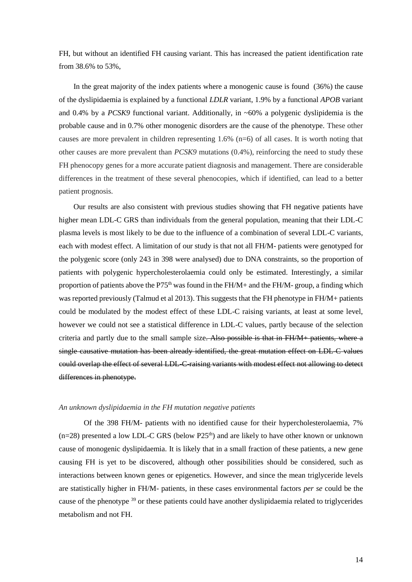FH, but without an identified FH causing variant. This has increased the patient identification rate from 38.6% to 53%,

In the great majority of the index patients where a monogenic cause is found (36%) the cause of the dyslipidaemia is explained by a functional *LDLR* variant, 1.9% by a functional *APOB* variant and 0.4% by a *PCSK9* functional variant. Additionally, in ~60% a polygenic dyslipidemia is the probable cause and in 0.7% other monogenic disorders are the cause of the phenotype. These other causes are more prevalent in children representing 1.6% (n=6) of all cases. It is worth noting that other causes are more prevalent than *PCSK9* mutations (0.4%), reinforcing the need to study these FH phenocopy genes for a more accurate patient diagnosis and management. There are considerable differences in the treatment of these several phenocopies, which if identified, can lead to a better patient prognosis.

Our results are also consistent with previous studies showing that FH negative patients have higher mean LDL-C GRS than individuals from the general population, meaning that their LDL-C plasma levels is most likely to be due to the influence of a combination of several LDL-C variants, each with modest effect. A limitation of our study is that not all FH/M- patients were genotyped for the polygenic score (only 243 in 398 were analysed) due to DNA constraints, so the proportion of patients with polygenic hypercholesterolaemia could only be estimated. Interestingly, a similar proportion of patients above the P75<sup>th</sup> was found in the FH/M+ and the FH/M- group, a finding which was reported previously (Talmud et al 2013). This suggests that the FH phenotype in FH/M+ patients could be modulated by the modest effect of these LDL-C raising variants, at least at some level, however we could not see a statistical difference in LDL-C values, partly because of the selection criteria and partly due to the small sample size. Also possible is that in  $FH/M +$  patients, where a single causative mutation has been already identified, the great mutation effect on LDL-C values could overlap the effect of several LDL-C-raising variants with modest effect not allowing to detect differences in phenotype.

#### *An unknown dyslipidaemia in the FH mutation negative patients*

Of the 398 FH/M- patients with no identified cause for their hypercholesterolaemia, 7%  $(n=28)$  presented a low LDL-C GRS (below P25<sup>th</sup>) and are likely to have other known or unknown cause of monogenic dyslipidaemia. It is likely that in a small fraction of these patients, a new gene causing FH is yet to be discovered, although other possibilities should be considered, such as interactions between known genes or epigenetics. However, and since the mean triglyceride levels are statistically higher in FH/M- patients, in these cases environmental factors *per se* could be the cause of the phenotype <sup>39</sup> or these patients could have another dyslipidaemia related to triglycerides metabolism and not FH.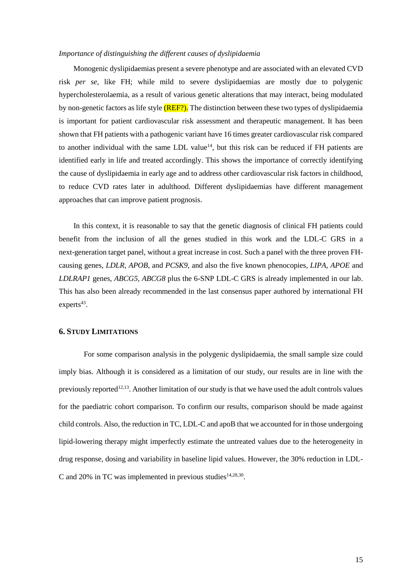#### *Importance of distinguishing the different causes of dyslipidaemia*

Monogenic dyslipidaemias present a severe phenotype and are associated with an elevated CVD risk *per se*, like FH; while mild to severe dyslipidaemias are mostly due to polygenic hypercholesterolaemia, as a result of various genetic alterations that may interact, being modulated by non-genetic factors as life style (REF?). The distinction between these two types of dyslipidaemia is important for patient cardiovascular risk assessment and therapeutic management. It has been shown that FH patients with a pathogenic variant have 16 times greater cardiovascular risk compared to another individual with the same LDL value<sup>14</sup>, but this risk can be reduced if FH patients are identified early in life and treated accordingly. This shows the importance of correctly identifying the cause of dyslipidaemia in early age and to address other cardiovascular risk factors in childhood, to reduce CVD rates later in adulthood. Different dyslipidaemias have different management approaches that can improve patient prognosis.

In this context, it is reasonable to say that the genetic diagnosis of clinical FH patients could benefit from the inclusion of all the genes studied in this work and the LDL-C GRS in a next-generation target panel, without a great increase in cost. Such a panel with the three proven FHcausing genes, *LDLR*, *APOB*, and *PCSK9*, and also the five known phenocopies, *LIPA*, *APOE* and *LDLRAP1* genes, *ABCG5*, *ABCG8* plus the 6-SNP LDL-C GRS is already implemented in our lab. This has also been already recommended in the last consensus paper authored by international FH  $experts^{43}$ .

# **6. STUDY LIMITATIONS**

For some comparison analysis in the polygenic dyslipidaemia, the small sample size could imply bias. Although it is considered as a limitation of our study, our results are in line with the previously reported<sup>12,13</sup>. Another limitation of our study is that we have used the adult controls values for the paediatric cohort comparison. To confirm our results, comparison should be made against child controls. Also, the reduction in TC, LDL-C and apoB that we accounted for in those undergoing lipid-lowering therapy might imperfectly estimate the untreated values due to the heterogeneity in drug response, dosing and variability in baseline lipid values. However, the 30% reduction in LDL-C and 20% in TC was implemented in previous studies $14,28,30$ .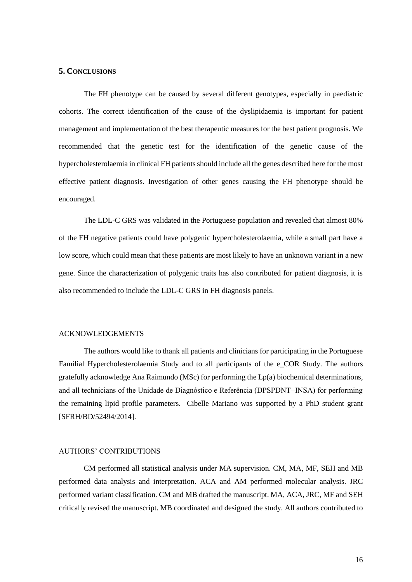# **5. CONCLUSIONS**

The FH phenotype can be caused by several different genotypes, especially in paediatric cohorts. The correct identification of the cause of the dyslipidaemia is important for patient management and implementation of the best therapeutic measures for the best patient prognosis. We recommended that the genetic test for the identification of the genetic cause of the hypercholesterolaemia in clinical FH patients should include all the genes described here for the most effective patient diagnosis. Investigation of other genes causing the FH phenotype should be encouraged.

The LDL-C GRS was validated in the Portuguese population and revealed that almost 80% of the FH negative patients could have polygenic hypercholesterolaemia, while a small part have a low score, which could mean that these patients are most likely to have an unknown variant in a new gene. Since the characterization of polygenic traits has also contributed for patient diagnosis, it is also recommended to include the LDL-C GRS in FH diagnosis panels.

#### ACKNOWLEDGEMENTS

The authors would like to thank all patients and clinicians for participating in the Portuguese Familial Hypercholesterolaemia Study and to all participants of the e\_COR Study. The authors gratefully acknowledge Ana Raimundo (MSc) for performing the Lp(a) biochemical determinations, and all technicians of the Unidade de Diagnóstico e Referência (DPSPDNT−INSA) for performing the remaining lipid profile parameters. Cibelle Mariano was supported by a PhD student grant [SFRH/BD/52494/2014].

## AUTHORS' CONTRIBUTIONS

CM performed all statistical analysis under MA supervision. CM, MA, MF, SEH and MB performed data analysis and interpretation. ACA and AM performed molecular analysis. JRC performed variant classification. CM and MB drafted the manuscript. MA, ACA, JRC, MF and SEH critically revised the manuscript. MB coordinated and designed the study. All authors contributed to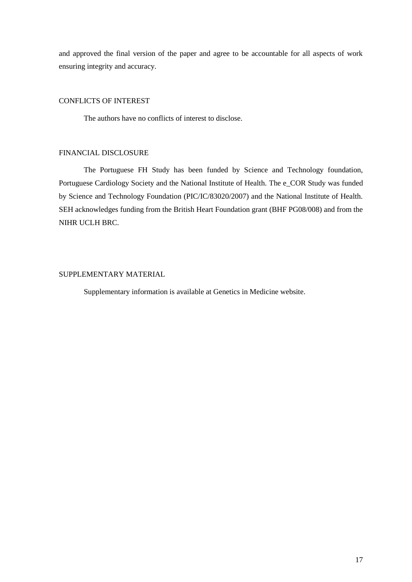and approved the final version of the paper and agree to be accountable for all aspects of work ensuring integrity and accuracy.

# CONFLICTS OF INTEREST

The authors have no conflicts of interest to disclose.

# FINANCIAL DISCLOSURE

The Portuguese FH Study has been funded by Science and Technology foundation, Portuguese Cardiology Society and the National Institute of Health. The e\_COR Study was funded by Science and Technology Foundation (PIC/IC/83020/2007) and the National Institute of Health. SEH acknowledges funding from the British Heart Foundation grant (BHF PG08/008) and from the NIHR UCLH BRC.

# SUPPLEMENTARY MATERIAL

Supplementary information is available at Genetics in Medicine website.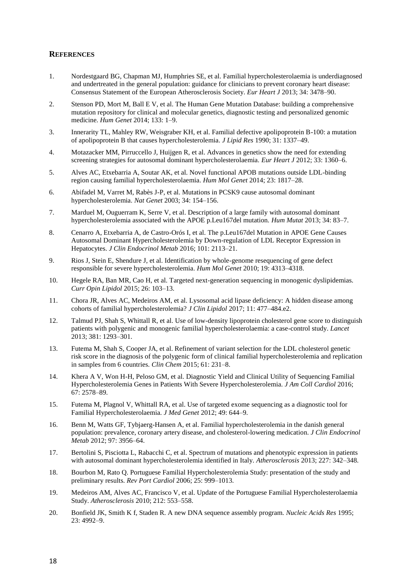# **REFERENCES**

- 1. Nordestgaard BG, Chapman MJ, Humphries SE, et al. Familial hypercholesterolaemia is underdiagnosed and undertreated in the general population: guidance for clinicians to prevent coronary heart disease: Consensus Statement of the European Atherosclerosis Society. *Eur Heart J* 2013; 34: 3478–90.
- 2. Stenson PD, Mort M, Ball E V, et al. The Human Gene Mutation Database: building a comprehensive mutation repository for clinical and molecular genetics, diagnostic testing and personalized genomic medicine. *Hum Genet* 2014; 133: 1–9.
- 3. Innerarity TL, Mahley RW, Weisgraber KH, et al. Familial defective apolipoprotein B-100: a mutation of apolipoprotein B that causes hypercholesterolemia. *J Lipid Res* 1990; 31: 1337–49.
- 4. Motazacker MM, Pirruccello J, Huijgen R, et al. Advances in genetics show the need for extending screening strategies for autosomal dominant hypercholesterolaemia. *Eur Heart J* 2012; 33: 1360–6.
- 5. Alves AC, Etxebarria A, Soutar AK, et al. Novel functional APOB mutations outside LDL-binding region causing familial hypercholesterolaemia. *Hum Mol Genet* 2014; 23: 1817–28.
- 6. Abifadel M, Varret M, Rabès J-P, et al. Mutations in PCSK9 cause autosomal dominant hypercholesterolemia. *Nat Genet* 2003; 34: 154–156.
- 7. Marduel M, Ouguerram K, Serre V, et al. Description of a large family with autosomal dominant hypercholesterolemia associated with the APOE p.Leu167del mutation. *Hum Mutat* 2013; 34: 83–7.
- 8. Cenarro A, Etxebarria A, de Castro-Orós I, et al. The p.Leu167del Mutation in APOE Gene Causes Autosomal Dominant Hypercholesterolemia by Down-regulation of LDL Receptor Expression in Hepatocytes. *J Clin Endocrinol Metab* 2016; 101: 2113–21.
- 9. Rios J, Stein E, Shendure J, et al. Identification by whole-genome resequencing of gene defect responsible for severe hypercholesterolemia. *Hum Mol Genet* 2010; 19: 4313–4318.
- 10. Hegele RA, Ban MR, Cao H, et al. Targeted next-generation sequencing in monogenic dyslipidemias. *Curr Opin Lipidol* 2015; 26: 103–13.
- 11. Chora JR, Alves AC, Medeiros AM, et al. Lysosomal acid lipase deficiency: A hidden disease among cohorts of familial hypercholesterolemia? *J Clin Lipidol* 2017; 11: 477–484.e2.
- 12. Talmud PJ, Shah S, Whittall R, et al. Use of low-density lipoprotein cholesterol gene score to distinguish patients with polygenic and monogenic familial hypercholesterolaemia: a case-control study. *Lancet* 2013; 381: 1293–301.
- 13. Futema M, Shah S, Cooper JA, et al. Refinement of variant selection for the LDL cholesterol genetic risk score in the diagnosis of the polygenic form of clinical familial hypercholesterolemia and replication in samples from 6 countries. *Clin Chem* 2015; 61: 231–8.
- 14. Khera A V, Won H-H, Peloso GM, et al. Diagnostic Yield and Clinical Utility of Sequencing Familial Hypercholesterolemia Genes in Patients With Severe Hypercholesterolemia. *J Am Coll Cardiol* 2016; 67: 2578–89.
- 15. Futema M, Plagnol V, Whittall RA, et al. Use of targeted exome sequencing as a diagnostic tool for Familial Hypercholesterolaemia. *J Med Genet* 2012; 49: 644–9.
- 16. Benn M, Watts GF, Tybjaerg-Hansen A, et al. Familial hypercholesterolemia in the danish general population: prevalence, coronary artery disease, and cholesterol-lowering medication. *J Clin Endocrinol Metab* 2012; 97: 3956–64.
- 17. Bertolini S, Pisciotta L, Rabacchi C, et al. Spectrum of mutations and phenotypic expression in patients with autosomal dominant hypercholesterolemia identified in Italy. *Atherosclerosis* 2013; 227: 342–348.
- 18. Bourbon M, Rato Q. Portuguese Familial Hypercholesterolemia Study: presentation of the study and preliminary results. *Rev Port Cardiol* 2006; 25: 999–1013.
- 19. Medeiros AM, Alves AC, Francisco V, et al. Update of the Portuguese Familial Hypercholesterolaemia Study. *Atherosclerosis* 2010; 212: 553–558.
- 20. Bonfield JK, Smith K f, Staden R. A new DNA sequence assembly program. *Nucleic Acids Res* 1995; 23: 4992–9.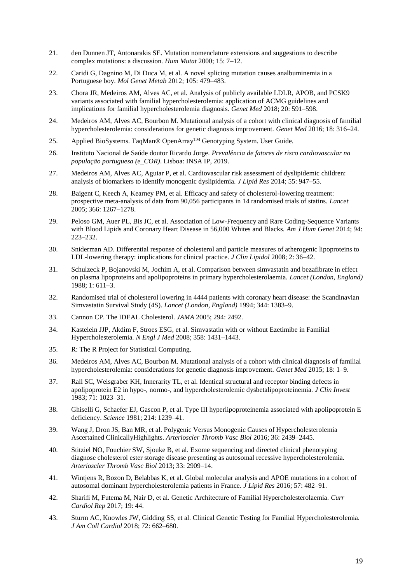- 21. den Dunnen JT, Antonarakis SE. Mutation nomenclature extensions and suggestions to describe complex mutations: a discussion. *Hum Mutat* 2000; 15: 7–12.
- 22. Caridi G, Dagnino M, Di Duca M, et al. A novel splicing mutation causes analbuminemia in a Portuguese boy. *Mol Genet Metab* 2012; 105: 479–483.
- 23. Chora JR, Medeiros AM, Alves AC, et al. Analysis of publicly available LDLR, APOB, and PCSK9 variants associated with familial hypercholesterolemia: application of ACMG guidelines and implications for familial hypercholesterolemia diagnosis. *Genet Med* 2018; 20: 591–598.
- 24. Medeiros AM, Alves AC, Bourbon M. Mutational analysis of a cohort with clinical diagnosis of familial hypercholesterolemia: considerations for genetic diagnosis improvement. *Genet Med* 2016; 18: 316–24.
- 25. Applied BioSystems. TaqMan® OpenArray<sup>™</sup> Genotyping System. User Guide.
- 26. Instituto Nacional de Saúde doutor Ricardo Jorge. *Prevalência de fatores de risco cardiovascular na população portuguesa (e\_COR)*. Lisboa: INSA IP, 2019.
- 27. Medeiros AM, Alves AC, Aguiar P, et al. Cardiovascular risk assessment of dyslipidemic children: analysis of biomarkers to identify monogenic dyslipidemia. *J Lipid Res* 2014; 55: 947–55.
- 28. Baigent C, Keech A, Kearney PM, et al. Efficacy and safety of cholesterol-lowering treatment: prospective meta-analysis of data from 90,056 participants in 14 randomised trials of statins. *Lancet* 2005; 366: 1267–1278.
- 29. Peloso GM, Auer PL, Bis JC, et al. Association of Low-Frequency and Rare Coding-Sequence Variants with Blood Lipids and Coronary Heart Disease in 56,000 Whites and Blacks. *Am J Hum Genet* 2014; 94: 223–232.
- 30. Sniderman AD. Differential response of cholesterol and particle measures of atherogenic lipoproteins to LDL-lowering therapy: implications for clinical practice. *J Clin Lipidol* 2008; 2: 36–42.
- 31. Schulzeck P, Bojanovski M, Jochim A, et al. Comparison between simvastatin and bezafibrate in effect on plasma lipoproteins and apolipoproteins in primary hypercholesterolaemia. *Lancet (London, England)* 1988; 1: 611–3.
- 32. Randomised trial of cholesterol lowering in 4444 patients with coronary heart disease: the Scandinavian Simvastatin Survival Study (4S). *Lancet (London, England)* 1994; 344: 1383–9.
- 33. Cannon CP. The IDEAL Cholesterol. *JAMA* 2005; 294: 2492.
- 34. Kastelein JJP, Akdim F, Stroes ESG, et al. Simvastatin with or without Ezetimibe in Familial Hypercholesterolemia. *N Engl J Med* 2008; 358: 1431–1443.
- 35. R: The R Project for Statistical Computing.
- 36. Medeiros AM, Alves AC, Bourbon M. Mutational analysis of a cohort with clinical diagnosis of familial hypercholesterolemia: considerations for genetic diagnosis improvement. *Genet Med* 2015; 18: 1–9.
- 37. Rall SC, Weisgraber KH, Innerarity TL, et al. Identical structural and receptor binding defects in apolipoprotein E2 in hypo-, normo-, and hypercholesterolemic dysbetalipoproteinemia. *J Clin Invest* 1983; 71: 1023–31.
- 38. Ghiselli G, Schaefer EJ, Gascon P, et al. Type III hyperlipoproteinemia associated with apolipoprotein E deficiency. *Science* 1981; 214: 1239–41.
- 39. Wang J, Dron JS, Ban MR, et al. Polygenic Versus Monogenic Causes of Hypercholesterolemia Ascertained ClinicallyHighlights. *Arterioscler Thromb Vasc Biol* 2016; 36: 2439–2445.
- 40. Stitziel NO, Fouchier SW, Sjouke B, et al. Exome sequencing and directed clinical phenotyping diagnose cholesterol ester storage disease presenting as autosomal recessive hypercholesterolemia. *Arterioscler Thromb Vasc Biol* 2013; 33: 2909–14.
- 41. Wintjens R, Bozon D, Belabbas K, et al. Global molecular analysis and APOE mutations in a cohort of autosomal dominant hypercholesterolemia patients in France. *J Lipid Res* 2016; 57: 482–91.
- 42. Sharifi M, Futema M, Nair D, et al. Genetic Architecture of Familial Hypercholesterolaemia. *Curr Cardiol Rep* 2017; 19: 44.
- 43. Sturm AC, Knowles JW, Gidding SS, et al. Clinical Genetic Testing for Familial Hypercholesterolemia. *J Am Coll Cardiol* 2018; 72: 662–680.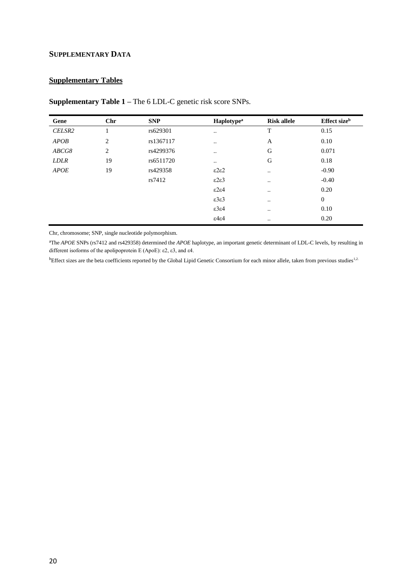# **SUPPLEMENTARY DATA**

# **Supplementary Tables**

| Gene        | Chr | <b>SNP</b> | <b>Haplotype</b> <sup>a</sup> | <b>Risk allele</b> | Effect size <sup>b</sup> |
|-------------|-----|------------|-------------------------------|--------------------|--------------------------|
| CELSR2      |     | rs629301   | $\ddotsc$                     | T                  | 0.15                     |
| APOB        | 2   | rs1367117  |                               | A                  | 0.10                     |
| ABCG8       | 2   | rs4299376  |                               | G                  | 0.071                    |
| <b>LDLR</b> | 19  | rs6511720  | $\cdot$ .                     | G                  | 0.18                     |
| <b>APOE</b> | 19  | rs429358   | ε2ε2                          | $\ddotsc$          | $-0.90$                  |
|             |     | rs7412     | ε2ε3                          | $\ddotsc$          | $-0.40$                  |
|             |     |            | ε2ε4                          | $\bullet$ .        | 0.20                     |
|             |     |            | $\epsilon$ 3 $\epsilon$ 3     | $\bullet$ .        | $\theta$                 |
|             |     |            | $\epsilon$ 3 $\epsilon$ 4     | $\bullet$ .        | 0.10                     |
|             |     |            | $\epsilon$ 4 $\epsilon$ 4     | $\bullet\bullet$   | 0.20                     |

**Supplementary Table 1 –** The 6 LDL-C genetic risk score SNPs.

Chr, chromosome; SNP, single nucleotide polymorphism.

<sup>a</sup>The *APOE* SNPs (rs7412 and rs429358) determined the *APOE* haplotype, an important genetic determinant of LDL-C levels, by resulting in different isoforms of the apolipoprotein E (ApoE): ε2, ε3, and ε4.

bEffect sizes are the beta coefficients reported by the Global Lipid Genetic Consortium for each minor allele, taken from previous studies<sup>1,2.</sup>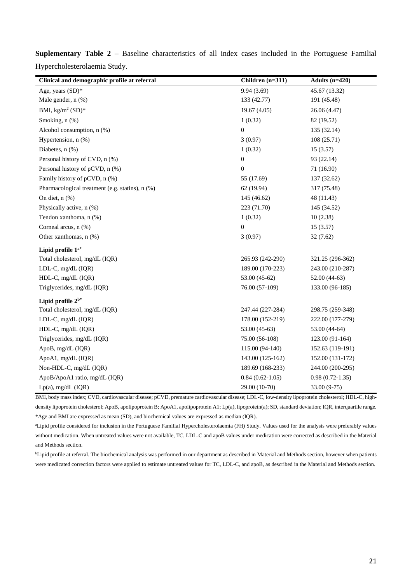| Clinical and demographic profile at referral    | Children (n=311)  | Adults $(n=420)$  |
|-------------------------------------------------|-------------------|-------------------|
| Age, years (SD)*                                | 9.94(3.69)        | 45.67 (13.32)     |
| Male gender, n (%)                              | 133 (42.77)       | 191 (45.48)       |
| BMI, $kg/m^2$ (SD)*                             | 19.67(4.05)       | 26.06 (4.47)      |
| Smoking, n (%)                                  | 1(0.32)           | 82 (19.52)        |
| Alcohol consumption, $n$ $%$ )                  | $\overline{0}$    | 135 (32.14)       |
| Hypertension, $n$ $(\%)$                        | 3(0.97)           | 108(25.71)        |
| Diabetes, n (%)                                 | 1(0.32)           | 15(3.57)          |
| Personal history of CVD, n (%)                  | $\boldsymbol{0}$  | 93 (22.14)        |
| Personal history of pCVD, n (%)                 | $\boldsymbol{0}$  | 71 (16.90)        |
| Family history of pCVD, n (%)                   | 55 (17.69)        | 137 (32.62)       |
| Pharmacological treatment (e.g. statins), n (%) | 62 (19.94)        | 317 (75.48)       |
| On diet, n (%)                                  | 145 (46.62)       | 48 (11.43)        |
| Physically active, n (%)                        | 223 (71.70)       | 145 (34.52)       |
| Tendon xanthoma, n (%)                          | 1(0.32)           | 10(2.38)          |
| Corneal arcus, n (%)                            | $\boldsymbol{0}$  | 15(3.57)          |
| Other xanthomas, n (%)                          | 3(0.97)           | 32 (7.62)         |
| Lipid profile 1 <sup>a*</sup>                   |                   |                   |
| Total cholesterol, mg/dL (IQR)                  | 265.93 (242-290)  | 321.25 (296-362)  |
| LDL-C, mg/dL (IQR)                              | 189.00 (170-223)  | 243.00 (210-287)  |
| HDL-C, mg/dL (IQR)                              | 53.00 (45-62)     | $52.00(44-63)$    |
| Triglycerides, mg/dL (IQR)                      | 76.00 (57-109)    | 133.00 (96-185)   |
| Lipid profile $2^{b*}$                          |                   |                   |
| Total cholesterol, mg/dL (IQR)                  | 247.44 (227-284)  | 298.75 (259-348)  |
| LDL-C, mg/dL (IQR)                              | 178.00 (152-219)  | 222.00 (177-279)  |
| HDL-C, mg/dL (IQR)                              | 53.00 (45-63)     | 53.00 (44-64)     |
| Triglycerides, mg/dL (IQR)                      | 75.00 (56-108)    | 123.00 (91-164)   |
| ApoB, mg/dL (IQR)                               | 115.00 (94-140)   | 152.63 (119-191)  |
| ApoA1, mg/dL (IQR)                              | 143.00 (125-162)  | 152.00 (131-172)  |
| Non-HDL-C, mg/dL (IQR)                          | 189.69 (168-233)  | 244.00 (200-295)  |
| ApoB/ApoA1 ratio, mg/dL (IQR)                   | $0.84(0.62-1.05)$ | $0.98(0.72-1.35)$ |
| $Lp(a)$ , mg/dL (IQR)                           | 29.00 (10-70)     | 33.00 (9-75)      |

**Suplementary Table 2 –** Baseline characteristics of all index cases included in the Portuguese Familial Hypercholesterolaemia Study.

BMI, body mass index; CVD, cardiovascular disease; pCVD, premature cardiovascular disease; LDL-C, low-density lipoprotein cholesterol; HDL-C, highdensity lipoprotein cholesterol; ApoB, apolipoprotein B; ApoA1, apolipoprotein A1; Lp(a), lipoprotein(a); SD, standard deviation; IQR, interquartile range. \*Age and BMI are expressed as mean (SD), and biochemical values are expressed as median (IQR).

<sup>a</sup>Lipid profile considered for inclusion in the Portuguese Familial Hypercholesterolaemia (FH) Study. Values used for the analysis were preferably values without medication. When untreated values were not available, TC, LDL-C and apoB values under medication were corrected as described in the Material and Methods section.

<sup>b</sup>Lipid profile at referral. The biochemical analysis was performed in our department as described in Material and Methods section, however when patients were medicated correction factors were applied to estimate untreated values for TC, LDL-C, and apoB, as described in the Material and Methods section.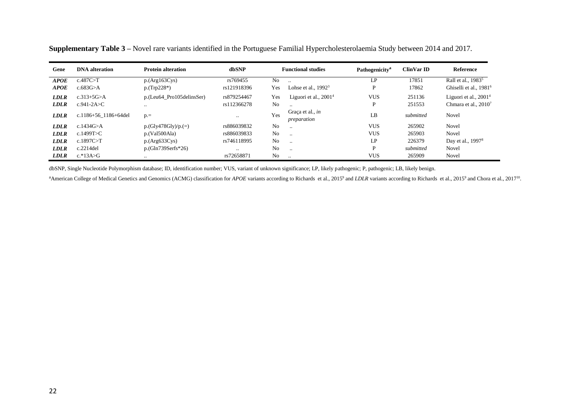| Gene        | <b>DNA</b> alteration | <b>Protein alteration</b> | dbSNP         |                | <b>Functional studies</b>              | Pathogenicity <sup>a</sup> | <b>ClinVar ID</b> | <b>Reference</b>                   |
|-------------|-----------------------|---------------------------|---------------|----------------|----------------------------------------|----------------------------|-------------------|------------------------------------|
| <b>APOE</b> | c.487C>T              | p.(Arg163Cys)             | rs769455      | N <sub>0</sub> | $\ddot{\phantom{a}}$                   | LP                         | 17851             | Rall et al., 1983 <sup>5</sup>     |
| <b>APOE</b> | c.683 $G > A$         | $p(Trp228*)$              | rs121918396   | Yes            | Lohse et al., $19923$                  | D                          | 17862             | Ghiselli et al., 1981 <sup>6</sup> |
| <b>LDLR</b> | $c.313 + 5G > A$      | p.(Leu64 Pro105delinsSer) | rs879254467   | Yes            | Liguori et al., $20014$                | <b>VUS</b>                 | 251136            | Liguori et al., $20014$            |
| <b>LDLR</b> | c.941-2A>C            | $\cdot \cdot$             | rs112366278   | N <sub>o</sub> | $\cdot$ .                              |                            | 251553            | Chmara et al., $2010^7$            |
| <b>LDLR</b> | c.1186+56 1186+64del  | $p =$                     | $\cdot$ .     | Yes            | Graca et al., <i>in</i><br>preparation | LB                         | submitted         | Novel                              |
| <b>LDLR</b> | c.1434G > A           | $p(Gly478Gly/p. (=)$      | rs886039832   | N <sub>0</sub> | $\ddot{\phantom{a}}$                   | <b>VUS</b>                 | 265902            | <b>Novel</b>                       |
| <b>LDLR</b> | c.1499T>C             | p.(Val500Ala)             | rs886039833   | N <sub>0</sub> | $\ddotsc$                              | <b>VUS</b>                 | 265903            | Novel                              |
| <b>LDLR</b> | c.1897C > T           | p.(Arg633Cys)             | rs746118995   | N <sub>0</sub> | $\cdot$ .                              | LP                         | 226379            | Day et al., 1997 <sup>8</sup>      |
| <b>LDLR</b> | $c.2214$ del          | $p(Gln739Serfs*26)$       | $\cdot \cdot$ | N <sub>o</sub> | $\cdot$ .                              | D                          | submitted         | Novel                              |
| <b>LDLR</b> | $c.*13A>G$            | $\ddotsc$                 | rs72658871    | N <sub>o</sub> | $\ddot{\phantom{a}}$                   | <b>VUS</b>                 | 265909            | Novel                              |

**Supplementary Table 3 –** Novel rare variants identified in the Portuguese Familial Hypercholesterolaemia Study between 2014 and 2017.

dbSNP, Single Nucleotide Polymorphism database; ID, identification number; VUS, variant of unknown significance; LP, likely pathogenic; P, pathogenic; LB, likely benign.

<sup>a</sup>American College of Medical Genetics and Genomics (ACMG) classification for *APOE* variants according to Richards et al., 2015 and *LDLR* variants according to Richards et al., 2015<sup>9</sup> and Chora et al., 2017<sup>10</sup>.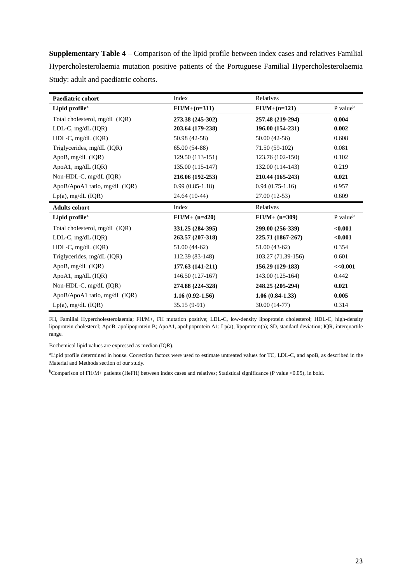**Supplementary Table 4 –** Comparison of the lipid profile between index cases and relatives Familial Hypercholesterolaemia mutation positive patients of the Portuguese Familial Hypercholesterolaemia Study: adult and paediatric cohorts.

| <b>Paediatric cohort</b>       | Index               | Relatives          |                      |
|--------------------------------|---------------------|--------------------|----------------------|
| Lipid profile <sup>a</sup>     | $FH/M + (n=311)$    | $FH/M + (n=121)$   | P value <sup>b</sup> |
| Total cholesterol, mg/dL (IQR) | 273.38 (245-302)    | 257.48 (219-294)   | 0.004                |
| LDL-C, $mg/dL$ (IQR)           | 203.64 (179-238)    | 196.00 (154-231)   | 0.002                |
| HDL-C, mg/dL (IQR)             | 50.98 (42-58)       | $50.00(42-56)$     | 0.608                |
| Triglycerides, mg/dL (IQR)     | 65.00 (54-88)       | 71.50 (59-102)     | 0.081                |
| ApoB, mg/dL (IQR)              | 129.50 (113-151)    | 123.76 (102-150)   | 0.102                |
| ApoA1, mg/dL (IQR)             | 135.00 (115-147)    | 132.00 (114-143)   | 0.219                |
| Non-HDL-C, mg/dL (IQR)         | 216.06 (192-253)    | 210.44 (165-243)   | 0.021                |
| ApoB/ApoA1 ratio, mg/dL (IQR)  | $0.99(0.85-1.18)$   | $0.94(0.75-1.16)$  | 0.957                |
| Lp(a), mg/dL (IQR)             | 24.64 (10-44)       | 27.00 (12-53)      | 0.609                |
|                                |                     |                    |                      |
| <b>Adults cohort</b>           | Index               | Relatives          |                      |
| Lipid profile <sup>a</sup>     | $FH/M + (n=420)$    | $FH/M + (n=309)$   | P value <sup>b</sup> |
| Total cholesterol, mg/dL (IQR) | 331.25 (284-395)    | 299.00 (256-339)   | < 0.001              |
| LDL-C, mg/dL (IQR)             | 263.57 (207-318)    | 225.71 (1867-267)  | < 0.001              |
| HDL-C, mg/dL (IQR)             | $51.00(44-62)$      | $51.00(43-62)$     | 0.354                |
| Triglycerides, mg/dL (IQR)     | 112.39 (83-148)     | 103.27 (71.39-156) | 0.601                |
| ApoB, mg/dL (IQR)              | 177.63 (141-211)    | 156.29 (129-183)   | <<0.001              |
| ApoA1, mg/dL (IQR)             | 146.50 (127-167)    | 143.00 (125-164)   | 0.442                |
| Non-HDL-C, mg/dL (IQR)         | 274.88 (224-328)    | 248.25 (205-294)   | 0.021                |
| ApoB/ApoA1 ratio, mg/dL (IQR)  | $1.16(0.92 - 1.56)$ | $1.06(0.84-1.33)$  | 0.005                |

FH, Familial Hypercholesterolaemia; FH/M+, FH mutation positive; LDL-C, low-density lipoprotein cholesterol; HDL-C, high-density lipoprotein cholesterol; ApoB, apolipoprotein B; ApoA1, apolipoprotein A1; Lp(a), lipoprotein(a); SD, standard deviation; IQR, interquartile range.

Bochemical lipid values are expressed as median (IQR).

<sup>a</sup>Lipid profile determined in house. Correction factors were used to estimate untreated values for TC, LDL-C, and apoB, as described in the Material and Methods section of our study.

<sup>b</sup>Comparison of FH/M+ patients (HeFH) between index cases and relatives; Statistical significance (P value <0.05), in bold.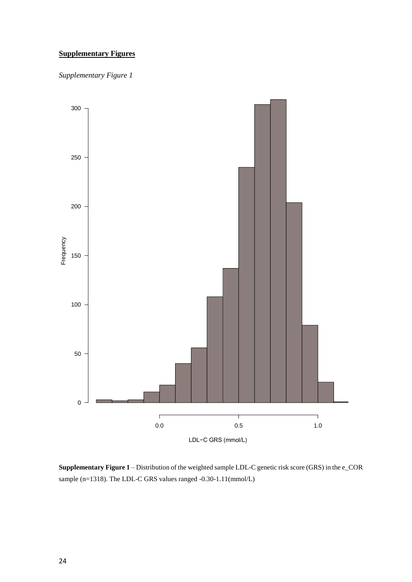# **Supplementary Figures**

*Supplementary Figure 1*



**Supplementary Figure 1** – Distribution of the weighted sample LDL-C genetic risk score (GRS) in the e\_COR sample (n=1318). The LDL-C GRS values ranged -0.30-1.11(mmol/L)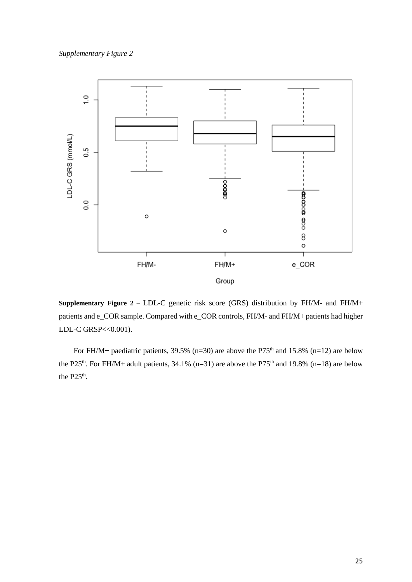# *Supplementary Figure 2*



**Supplementary Figure 2** – LDL-C genetic risk score (GRS) distribution by FH/M- and FH/M+ patients and e\_COR sample. Compared with e\_COR controls, FH/M- and FH/M+ patients had higher LDL-C GRSP<<0.001).

For FH/M+ paediatric patients, 39.5% (n=30) are above the P75<sup>th</sup> and 15.8% (n=12) are below the P25<sup>th</sup>. For FH/M+ adult patients, 34.1% (n=31) are above the P75<sup>th</sup> and 19.8% (n=18) are below the  $P25<sup>th</sup>$ .